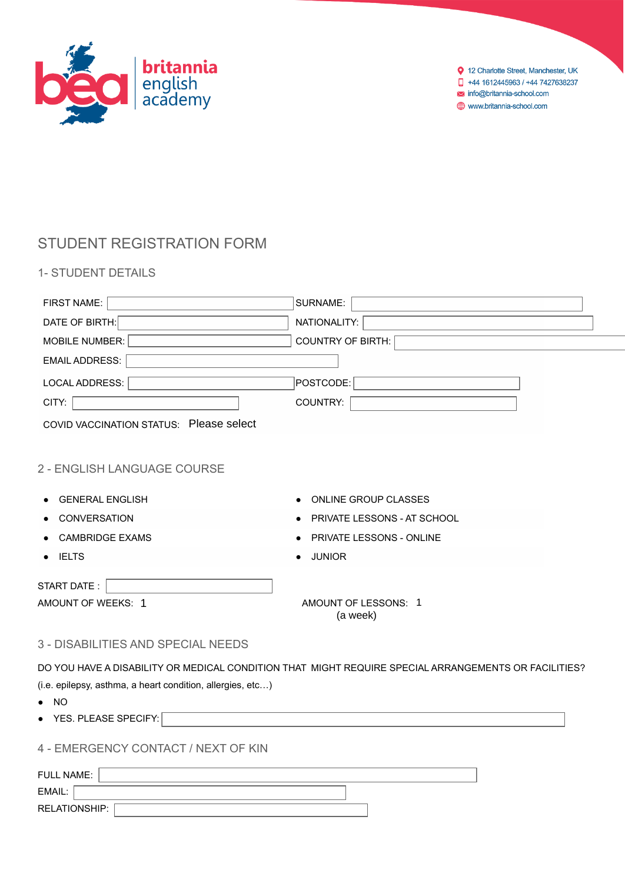

# STUDENT REGISTRATION FORM

1- STUDENT DETAILS

| FIRST NAME:                                                | SURNAME:                                                                                             |
|------------------------------------------------------------|------------------------------------------------------------------------------------------------------|
| DATE OF BIRTH:                                             | NATIONALITY:                                                                                         |
| <b>MOBILE NUMBER:</b>                                      | <b>COUNTRY OF BIRTH:</b>                                                                             |
| <b>EMAIL ADDRESS:</b>                                      |                                                                                                      |
| LOCAL ADDRESS:                                             | POSTCODE:                                                                                            |
| CITY:                                                      | COUNTRY:                                                                                             |
| COVID VACCINATION STATUS: Please select                    |                                                                                                      |
|                                                            |                                                                                                      |
| 2 - ENGLISH LANGUAGE COURSE                                |                                                                                                      |
|                                                            |                                                                                                      |
| <b>GENERAL ENGLISH</b>                                     | ONLINE GROUP CLASSES                                                                                 |
| CONVERSATION                                               | PRIVATE LESSONS - AT SCHOOL                                                                          |
| <b>CAMBRIDGE EXAMS</b>                                     | PRIVATE LESSONS - ONLINE                                                                             |
| <b>IELTS</b><br>$\bullet$                                  | <b>JUNIOR</b>                                                                                        |
| START DATE:                                                |                                                                                                      |
| AMOUNT OF WEEKS: 1                                         | AMOUNT OF LESSONS: 1                                                                                 |
|                                                            | (a week)                                                                                             |
| <b>3 - DISABILITIES AND SPECIAL NEEDS</b>                  |                                                                                                      |
|                                                            | DO YOU HAVE A DISABILITY OR MEDICAL CONDITION THAT MIGHT REQUIRE SPECIAL ARRANGEMENTS OR FACILITIES? |
| (i.e. epilepsy, asthma, a heart condition, allergies, etc) |                                                                                                      |
| $\bullet$ NO                                               |                                                                                                      |
| • YES. PLEASE SPECIFY:                                     |                                                                                                      |
|                                                            |                                                                                                      |
| 4 - EMERGENCY CONTACT / NEXT OF KIN                        |                                                                                                      |
| <b>FULL NAME:</b>                                          |                                                                                                      |
| EMAIL:                                                     |                                                                                                      |

RELATIONSHIP: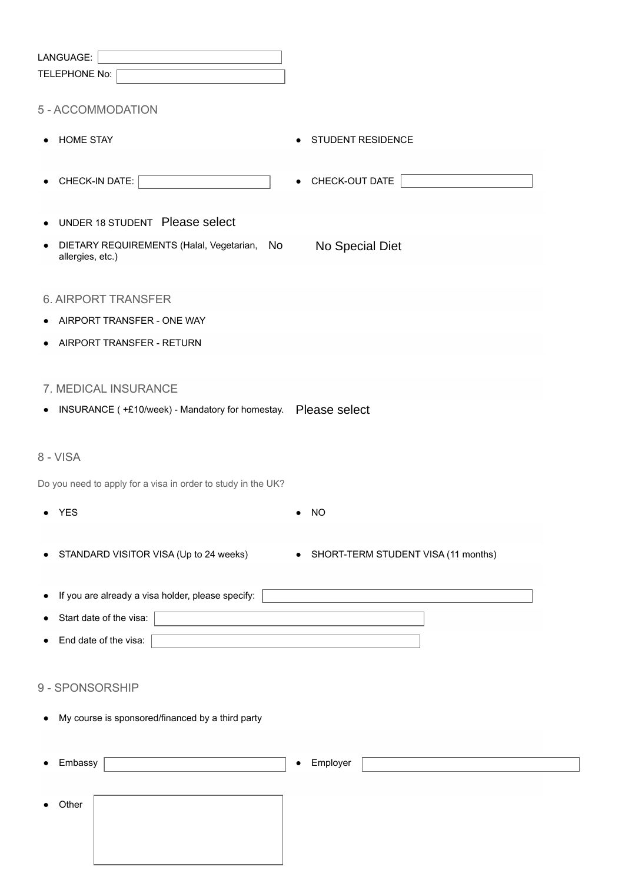| LANGUAGE:                                                               |                                       |
|-------------------------------------------------------------------------|---------------------------------------|
| TELEPHONE No:                                                           |                                       |
| 5 - ACCOMMODATION                                                       |                                       |
| HOME STAY<br>٠                                                          | STUDENT RESIDENCE<br>$\bullet$        |
| CHECK-IN DATE:                                                          | CHECK-OUT DATE<br>$\bullet$           |
| UNDER 18 STUDENT Please select                                          |                                       |
| DIETARY REQUIREMENTS (Halal, Vegetarian,<br>No<br>٠<br>allergies, etc.) | No Special Diet                       |
| <b>6. AIRPORT TRANSFER</b>                                              |                                       |
| AIRPORT TRANSFER - ONE WAY                                              |                                       |
| AIRPORT TRANSFER - RETURN                                               |                                       |
|                                                                         |                                       |
| 7. MEDICAL INSURANCE                                                    |                                       |
| INSURANCE (+£10/week) - Mandatory for homestay.  Please select<br>٠     |                                       |
|                                                                         |                                       |
| 8 - VISA                                                                |                                       |
| Do you need to apply for a visa in order to study in the UK?            |                                       |
| <b>YES</b>                                                              | <b>NO</b>                             |
|                                                                         |                                       |
| STANDARD VISITOR VISA (Up to 24 weeks)                                  | • SHORT-TERM STUDENT VISA (11 months) |
|                                                                         |                                       |
| If you are already a visa holder, please specify:<br>٠                  |                                       |
| Start date of the visa:                                                 |                                       |
| End date of the visa:                                                   |                                       |
| 9 - SPONSORSHIP                                                         |                                       |
| My course is sponsored/financed by a third party<br>٠                   |                                       |
| Embassy<br>٠                                                            | Employer<br>$\bullet$                 |
| Other                                                                   |                                       |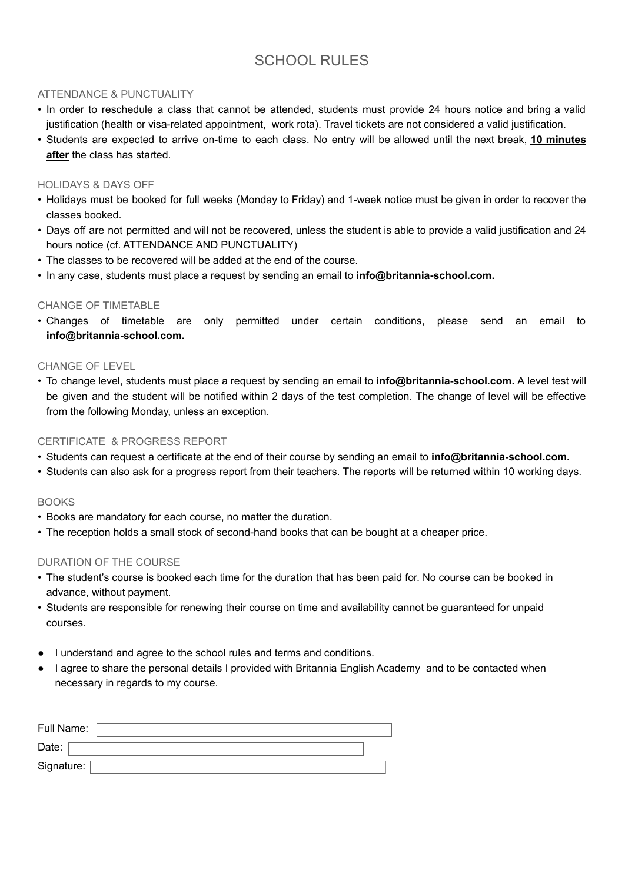## SCHOOL RULES

## ATTENDANCE & PUNCTUALITY

- In order to reschedule a class that cannot be attended, students must provide 24 hours notice and bring a valid justification (health or visa-related appointment, work rota). Travel tickets are not considered a valid justification.
- Students are expected to arrive on-time to each class. No entry will be allowed until the next break, **10 minutes after** the class has started.

## HOLIDAYS & DAYS OFF

- Holidays must be booked for full weeks (Monday to Friday) and 1-week notice must be given in order to recover the classes booked.
- Days off are not permitted and will not be recovered, unless the student is able to provide a valid justification and 24 hours notice (cf. ATTENDANCE AND PUNCTUALITY)
- The classes to be recovered will be added at the end of the course.
- In any case, students must place a request by sending an email to **info@britannia-school.com.**

## CHANGE OF TIMETABLE

• Changes of timetable are only permitted under certain conditions, please send an email to **info@britannia-school.com.**

## CHANGE OF LEVEL

• To change level, students must place a request by sending an email to **info@britannia-school.com.** A level test will be given and the student will be notified within 2 days of the test completion. The change of level will be effective from the following Monday, unless an exception.

## CERTIFICATE & PROGRESS REPORT

- Students can request a certificate at the end of their course by sending an email to **info@britannia-school.com.**
- Students can also ask for a progress report from their teachers. The reports will be returned within 10 working days.

## **BOOKS**

- Books are mandatory for each course, no matter the duration.
- The reception holds a small stock of second-hand books that can be bought at a cheaper price.

## DURATION OF THE COURSE

- The student's course is booked each time for the duration that has been paid for. No course can be booked in advance, without payment.
- Students are responsible for renewing their course on time and availability cannot be guaranteed for unpaid courses.
- I understand and agree to the school rules and terms and conditions.
- I agree to share the personal details I provided with Britannia English Academy and to be contacted when necessary in regards to my course.

| Full Name: |  |
|------------|--|
| Date:      |  |
| Signature: |  |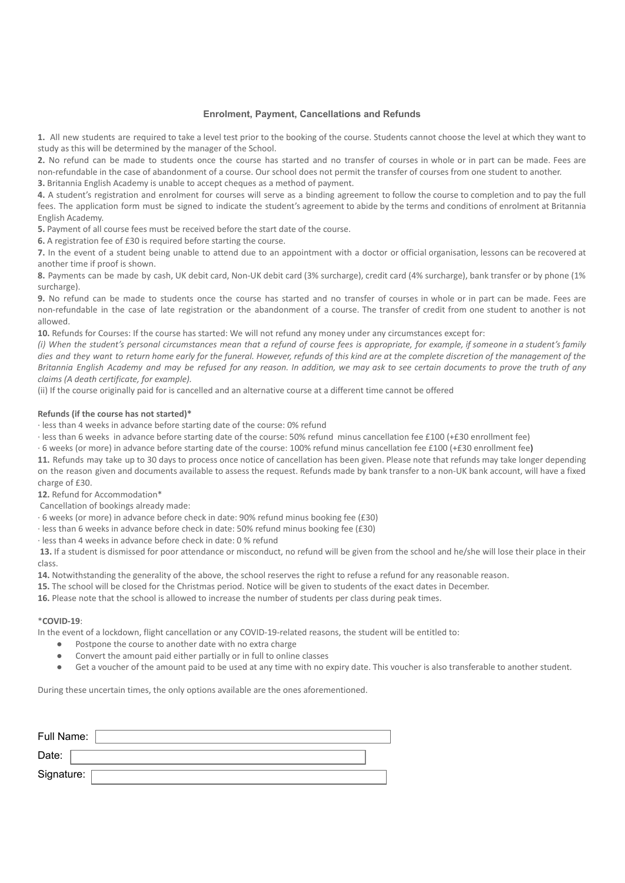#### **Enrolment, Payment, Cancellations and Refunds**

**1.** All new students are required to take a level test prior to the booking of the course. Students cannot choose the level at which they want to study as this will be determined by the manager of the School.

**2.** No refund can be made to students once the course has started and no transfer of courses in whole or in part can be made. Fees are non-refundable in the case of abandonment of a course. Our school does not permit the transfer of courses from one student to another. **3.** Britannia English Academy is unable to accept cheques as a method of payment.

**4.** A student's registration and enrolment for courses will serve as a binding agreement to follow the course to completion and to pay the full fees. The application form must be signed to indicate the student's agreement to abide by the terms and conditions of enrolment at Britannia English Academy.

**5.** Payment of all course fees must be received before the start date of the course.

**6.** A registration fee of £30 is required before starting the course.

**7.** In the event of a student being unable to attend due to an appointment with a doctor or official organisation, lessons can be recovered at another time if proof is shown.

**8.** Payments can be made by cash, UK debit card, Non-UK debit card (3% surcharge), credit card (4% surcharge), bank transfer or by phone (1% surcharge).

**9.** No refund can be made to students once the course has started and no transfer of courses in whole or in part can be made. Fees are non-refundable in the case of late registration or the abandonment of a course. The transfer of credit from one student to another is not allowed.

**10.** Refunds for Courses: If the course has started: We will not refund any money under any circumstances except for:

(i) When the student's personal circumstances mean that a refund of course fees is appropriate, for example, if someone in a student's family dies and they want to return home early for the funeral. However, refunds of this kind are at the complete discretion of the management of the Britannia English Academy and may be refused for any reason. In addition, we may ask to see certain documents to prove the truth of any *claims (A death certificate, for example).*

(ii) If the course originally paid for is cancelled and an alternative course at a different time cannot be offered

#### **Refunds (if the course has not started)\***

· less than 4 weeks in advance before starting date of the course: 0% refund

· less than 6 weeks in advance before starting date of the course: 50% refund minus cancellation fee £100 (+£30 enrollment fee)

· 6 weeks (or more) in advance before starting date of the course: 100% refund minus cancellation fee £100 (+£30 enrollment fee)

**11.** Refunds may take up to 30 days to process once notice of cancellation has been given. Please note that refunds may take longer depending on the reason given and documents available to assess the request. Refunds made by bank transfer to a non-UK bank account, will have a fixed charge of £30.

**12.** Refund for Accommodation\*

Cancellation of bookings already made:

· 6 weeks (or more) in advance before check in date: 90% refund minus booking fee (£30)

· less than 6 weeks in advance before check in date: 50% refund minus booking fee (£30)

· less than 4 weeks in advance before check in date: 0 % refund

**13.** If a student is dismissed for poor attendance or misconduct, no refund will be given from the school and he/she will lose their place in their class.

14. Notwithstanding the generality of the above, the school reserves the right to refuse a refund for any reasonable reason.

**15.** The school will be closed for the Christmas period. Notice will be given to students of the exact dates in December.

**16.** Please note that the school is allowed to increase the number of students per class during peak times.

#### \***COVID-19**:

In the event of a lockdown, flight cancellation or any COVID-19-related reasons, the student will be entitled to:

- Postpone the course to another date with no extra charge
- Convert the amount paid either partially or in full to online classes
- Get a voucher of the amount paid to be used at any time with no expiry date. This voucher is also transferable to another student.

During these uncertain times, the only options available are the ones aforementioned.

| Full Name: |  |
|------------|--|
| Date:      |  |
| Signature: |  |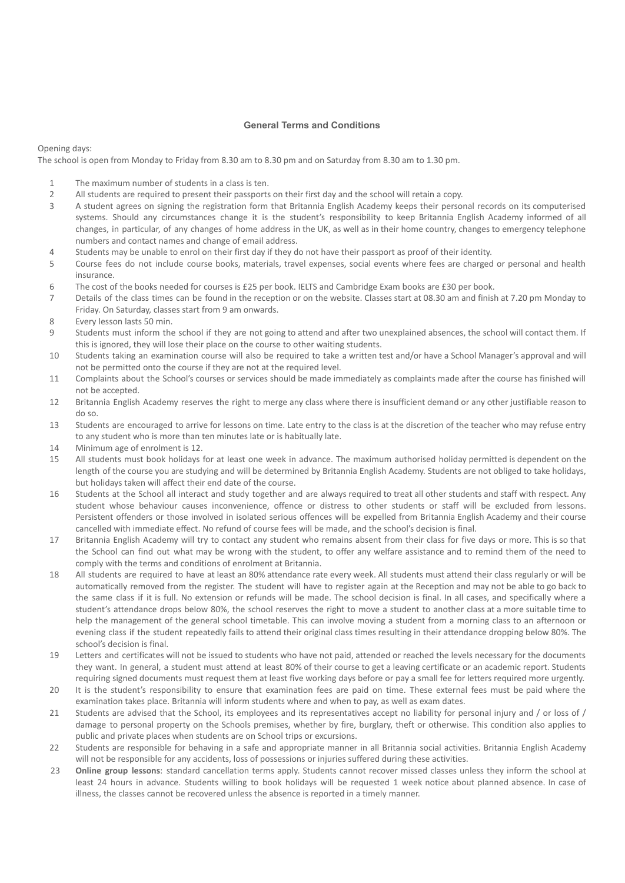#### **General Terms and Conditions**

Opening days:

The school is open from Monday to Friday from 8.30 am to 8.30 pm and on Saturday from 8.30 am to 1.30 pm.

- 1 The maximum number of students in a class is ten.
- 2 All students are required to present their passports on their first day and the school will retain a copy.
- 3 A student agrees on signing the registration form that Britannia English Academy keeps their personal records on its computerised systems. Should any circumstances change it is the student's responsibility to keep Britannia English Academy informed of all changes, in particular, of any changes of home address in the UK, as well as in their home country, changes to emergency telephone numbers and contact names and change of email address.
- 4 Students may be unable to enrol on their first day if they do not have their passport as proof of their identity.
- 5 Course fees do not include course books, materials, travel expenses, social events where fees are charged or personal and health insurance.
- 6 The cost of the books needed for courses is £25 per book. IELTS and Cambridge Exam books are £30 per book.
- 7 Details of the class times can be found in the reception or on the website. Classes start at 08.30 am and finish at 7.20 pm Monday to Friday. On Saturday, classes start from 9 am onwards.
- 8 Every lesson lasts 50 min.
- 9 Students must inform the school if they are not going to attend and after two unexplained absences, the school will contact them. If this is ignored, they will lose their place on the course to other waiting students.
- 10 Students taking an examination course will also be required to take a written test and/or have a School Manager's approval and will not be permitted onto the course if they are not at the required level.
- 11 Complaints about the School's courses or services should be made immediately as complaints made after the course has finished will not be accepted.
- 12 Britannia English Academy reserves the right to merge any class where there is insufficient demand or any other justifiable reason to do so.
- 13 Students are encouraged to arrive for lessons on time. Late entry to the class is at the discretion of the teacher who may refuse entry to any student who is more than ten minutes late or is habitually late.
- 14 Minimum age of enrolment is 12.
- 15 All students must book holidays for at least one week in advance. The maximum authorised holiday permitted is dependent on the length of the course you are studying and will be determined by Britannia English Academy. Students are not obliged to take holidays, but holidays taken will affect their end date of the course.
- 16 Students at the School all interact and study together and are always required to treat all other students and staff with respect. Any student whose behaviour causes inconvenience, offence or distress to other students or staff will be excluded from lessons. Persistent offenders or those involved in isolated serious offences will be expelled from Britannia English Academy and their course cancelled with immediate effect. No refund of course fees will be made, and the school's decision is final.
- 17 Britannia English Academy will try to contact any student who remains absent from their class for five days or more. This is so that the School can find out what may be wrong with the student, to offer any welfare assistance and to remind them of the need to comply with the terms and conditions of enrolment at Britannia.
- 18 All students are required to have at least an 80% attendance rate every week. All students must attend their class regularly or will be automatically removed from the register. The student will have to register again at the Reception and may not be able to go back to the same class if it is full. No extension or refunds will be made. The school decision is final. In all cases, and specifically where a student's attendance drops below 80%, the school reserves the right to move a student to another class at a more suitable time to help the management of the general school timetable. This can involve moving a student from a morning class to an afternoon or evening class if the student repeatedly fails to attend their original class times resulting in their attendance dropping below 80%. The school's decision is final.
- 19 Letters and certificates will not be issued to students who have not paid, attended or reached the levels necessary for the documents they want. In general, a student must attend at least 80% of their course to get a leaving certificate or an academic report. Students requiring signed documents must request them at least five working days before or pay a small fee for letters required more urgently.
- 20 It is the student's responsibility to ensure that examination fees are paid on time. These external fees must be paid where the examination takes place. Britannia will inform students where and when to pay, as well as exam dates.
- 21 Students are advised that the School, its employees and its representatives accept no liability for personal injury and / or loss of / damage to personal property on the Schools premises, whether by fire, burglary, theft or otherwise. This condition also applies to public and private places when students are on School trips or excursions.
- 22 Students are responsible for behaving in a safe and appropriate manner in all Britannia social activities. Britannia English Academy will not be responsible for any accidents, loss of possessions or injuries suffered during these activities.
- 23 **Online group lessons**: standard cancellation terms apply. Students cannot recover missed classes unless they inform the school at least 24 hours in advance. Students willing to book holidays will be requested 1 week notice about planned absence. In case of illness, the classes cannot be recovered unless the absence is reported in a timely manner.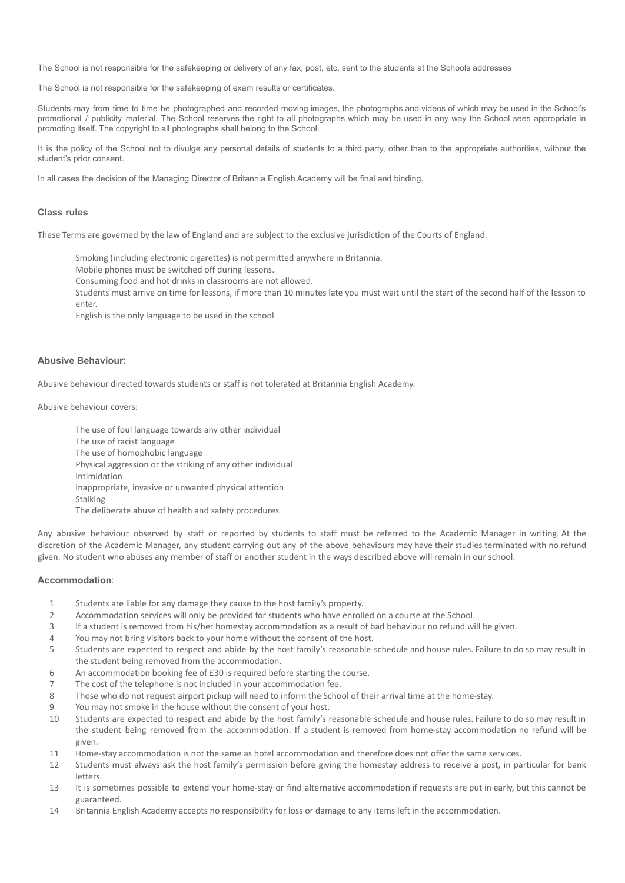The School is not responsible for the safekeeping or delivery of any fax, post, etc. sent to the students at the Schools addresses

The School is not responsible for the safekeeping of exam results or certificates.

Students may from time to time be photographed and recorded moving images, the photographs and videos of which may be used in the School's promotional / publicity material. The School reserves the right to all photographs which may be used in any way the School sees appropriate in promoting itself. The copyright to all photographs shall belong to the School.

It is the policy of the School not to divulge any personal details of students to a third party, other than to the appropriate authorities, without the student's prior consent.

In all cases the decision of the Managing Director of Britannia English Academy will be final and binding.

#### **Class rules**

These Terms are governed by the law of England and are subject to the exclusive jurisdiction of the Courts of England.

Smoking (including electronic cigarettes) is not permitted anywhere in Britannia.

Mobile phones must be switched off during lessons.

Consuming food and hot drinks in classrooms are not allowed.

Students must arrive on time for lessons, if more than 10 minutes late you must wait until the start of the second half of the lesson to enter.

English is the only language to be used in the school

#### **Abusive Behaviour:**

Abusive behaviour directed towards students or staff is not tolerated at Britannia English Academy.

Abusive behaviour covers:

The use of foul language towards any other individual The use of racist language The use of homophobic language Physical aggression or the striking of any other individual Intimidation Inappropriate, invasive or unwanted physical attention Stalking The deliberate abuse of health and safety procedures

Any abusive behaviour observed by staff or reported by students to staff must be referred to the Academic Manager in writing. At the discretion of the Academic Manager, any student carrying out any of the above behaviours may have their studies terminated with no refund given. No student who abuses any member of staff or another student in the ways described above will remain in our school.

#### **Accommodation**:

- 1 Students are liable for any damage they cause to the host family's property.
- 2 Accommodation services will only be provided for students who have enrolled on a course at the School.
- 3 If a student is removed from his/her homestay accommodation as a result of bad behaviour no refund will be given.
- 4 You may not bring visitors back to your home without the consent of the host.
- 5 Students are expected to respect and abide by the host family's reasonable schedule and house rules. Failure to do so may result in the student being removed from the accommodation.
- 6 An accommodation booking fee of £30 is required before starting the course.
- 7 The cost of the telephone is not included in your accommodation fee.
- 8 Those who do not request airport pickup will need to inform the School of their arrival time at the home-stay.
- 9 You may not smoke in the house without the consent of your host.
- 10 Students are expected to respect and abide by the host family's reasonable schedule and house rules. Failure to do so may result in the student being removed from the accommodation. If a student is removed from home-stay accommodation no refund will be given.
- 11 Home-stay accommodation is not the same as hotel accommodation and therefore does not offer the same services.
- 12 Students must always ask the host family's permission before giving the homestay address to receive a post, in particular for bank letters.
- 13 It is sometimes possible to extend your home-stay or find alternative accommodation if requests are put in early, but this cannot be guaranteed.
- 14 Britannia English Academy accepts no responsibility for loss or damage to any items left in the accommodation.